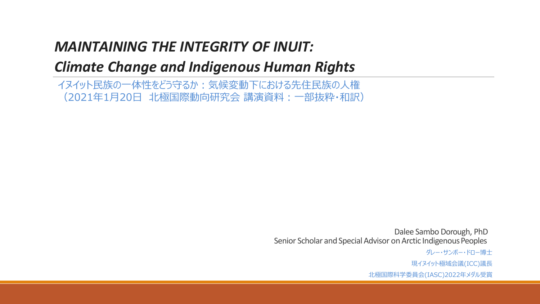### *MAINTAINING THE INTEGRITY OF INUIT:*

### *Climate Change and Indigenous Human Rights*

イヌイット民族の一体性をどう守るか:気候変動下における先住民族の人権 (2021年1月20日 北極国際動向研究会 講演資料:一部抜粋・和訳)

> Dalee Sambo Dorough, PhD Senior Scholar and Special Advisor on Arctic Indigenous Peoples

> > ダレー・サンボー・ドロー博士 現イヌイット極域会議(ICC)議長 北極国際科学委員会(IASC)2022年メダル受賞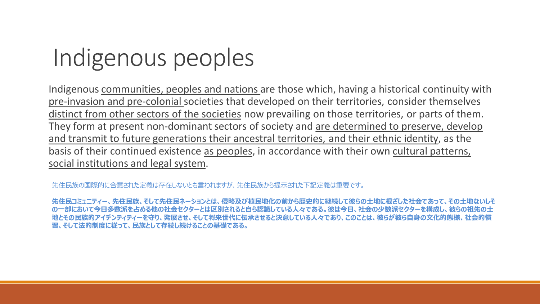# Indigenous peoples

Indigenous communities, peoples and nations are those which, having a historical continuity with pre-invasion and pre-colonial societies that developed on their territories, consider themselves distinct from other sectors of the societies now prevailing on those territories, or parts of them. They form at present non-dominant sectors of society and are determined to preserve, develop and transmit to future generations their ancestral territories, and their ethnic identity, as the basis of their continued existence as peoples, in accordance with their own cultural patterns, social institutions and legal system.

先住民族の国際的に合意された定義は存在しないとも言われますが、先住民族から提示された下記定義は重要です。

*先住民コミュニティー、先住民族、そして先住民ネーションとは、侵略及び植民地化の前から歴史的に継続して彼らの土地に根ざした社会であって、その土地ないしそ の一部において今日多数派を占める他の社会セクターとは区別されると自ら認識している人々である。彼は今日、社会の少数派セクターを構成し、彼らの祖先の土 地とその民族的アイデンティティーを守り、発展させ、そして将来世代に伝承させると決意している人々であり、このことは、彼らが彼ら自身の文化的態様、社会的慣 習、そして法的制度に従って、民族として存続し続けることの基礎である。*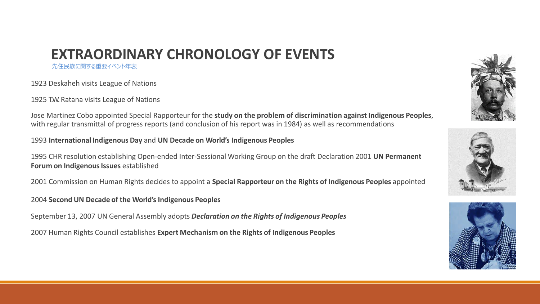### **EXTRAORDINARY CHRONOLOGY OF EVENTS**

先住民族に関する重要イベント年表

1923 Deskaheh visits League of Nations

1925 T.W. Ratana visits League of Nations

Jose Martinez Cobo appointed Special Rapporteur for the **study on the problem of discrimination against Indigenous Peoples**, with regular transmittal of progress reports (and conclusion of his report was in 1984) as well as recommendations

1993 **International Indigenous Day** and **UN Decade on World's Indigenous Peoples**

1995 CHR resolution establishing Open-ended Inter-Sessional Working Group on the draft Declaration 2001 **UN Permanent Forum on Indigenous Issues** established

2001 Commission on Human Rights decides to appoint a **Special Rapporteur on the Rights of Indigenous Peoples** appointed

2004 **Second UN Decade of the World's Indigenous Peoples**

September 13, 2007 UN General Assembly adopts *Declaration on the Rights of Indigenous Peoples*

2007 Human Rights Council establishes **Expert Mechanism on the Rights of Indigenous Peoples**





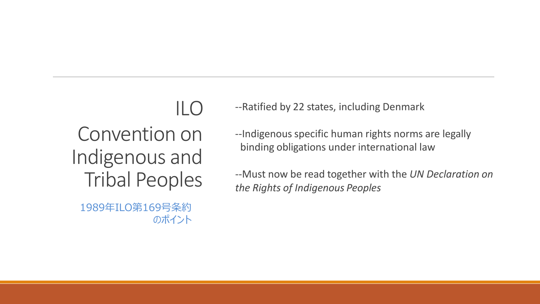### ILO

## Convention on Indigenous and Tribal Peoples

1989年ILO第169号条約 のポイント --Ratified by 22 states, including Denmark

--Indigenous specific human rights norms are legally binding obligations under international law

--Must now be read together with the *UN Declaration on the Rights of Indigenous Peoples*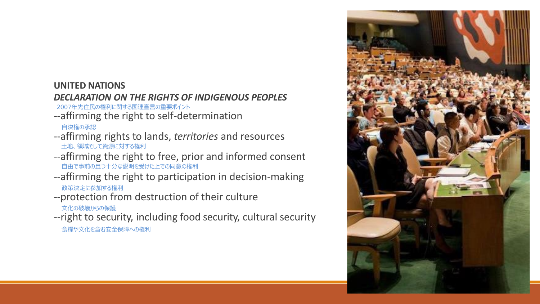#### **UNITED NATIONS**

#### *DECLARATION ON THE RIGHTS OF INDIGENOUS PEOPLES* 2007年先住民の権利に関する国連宣言の重要ポイント

- --affirming the right to self-determination 自決権の承認
- --affirming rights to lands, *territories* and resources 土地、領域そして資源に対する権利
- --affirming the right to free, prior and informed consent 自由で事前の且つ十分な説明を受けた上での同意の権利
- --affirming the right to participation in decision-making 政策決定に参加する権利
- --protection from destruction of their culture 文化の破壊からの保護
- --right to security, including food security, cultural security 食糧や文化を含む安全保障への権利

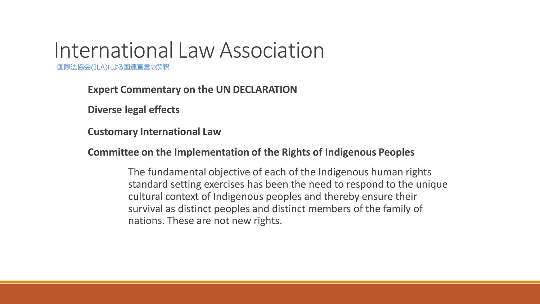## International LawAssociation

国際法協会(ILA)による国連宣言の解釈

**Expert Commentary on the UN DECLARATION** 

**Diverse legal effects**

**Customary International Law**

**Committee on the Implementation of the Rights of Indigenous Peoples**

The fundamental objective of each of the Indigenous human rights standard setting exercises has been the need to respond to the unique cultural context of Indigenous peoples and thereby ensure their survival as distinct peoples and distinct members of the family of nations. These are not new rights.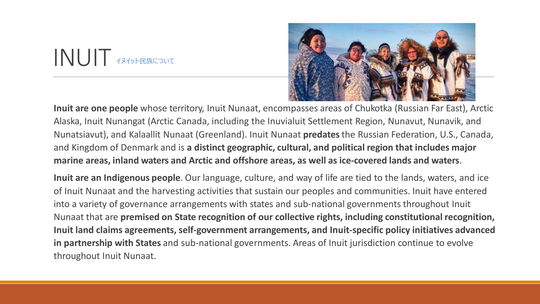### INUIT イヌイット民族について



**Inuit are one people** whose territory, Inuit Nunaat, encompasses areas of Chukotka (Russian Far East), Arctic Alaska, Inuit Nunangat (Arctic Canada, including the Inuvialuit Settlement Region, Nunavut, Nunavik, and Nunatsiavut), and Kalaallit Nunaat (Greenland). Inuit Nunaat **predates**the Russian Federation, U.S., Canada, and Kingdom of Denmark and is **a distinct geographic, cultural, and political region that includes major marine areas, inland waters and Arctic and offshore areas, as well as ice-covered lands and waters**.

**Inuit are an Indigenous people**. Our language, culture, and way of life are tied to the lands, waters, and ice of Inuit Nunaat and the harvesting activities that sustain our peoples and communities. Inuit have entered into a variety of governance arrangements with states and sub-national governments throughout Inuit Nunaat that are **premised on State recognition of our collective rights, including constitutional recognition, Inuit land claims agreements, self-government arrangements, and Inuit-specific policy initiatives advanced in partnership with States** and sub-national governments. Areas of Inuit jurisdiction continue to evolve throughout Inuit Nunaat.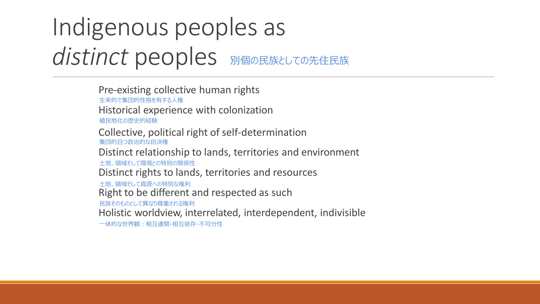# Indigenous peoples as **distinct peoples** 別個の民族としての先住民族

Pre-existing collective human rights Historical experience with colonization Collective, political right of self-determination Distinct relationship to lands, territories and environment Distinct rights to lands, territories and resources Right to be different and respected as such Holistic worldview, interrelated, interdependent, indivisible 生来的で集団的性格を有する人権 植民地化の歴史的経験 集団的且つ政治的な自決権 土地、領域そして環境との特別の関係性 土地、領域そして資源への特別な権利 民族そのものとして異なり尊重される権利 一体的な世界観:相互連関・相互依存・不可分性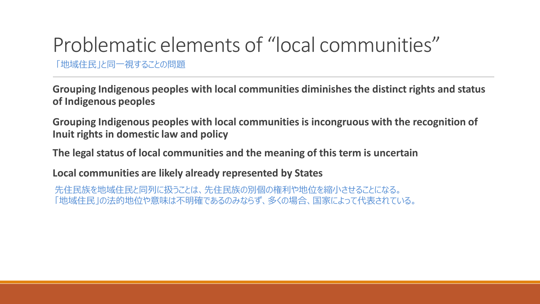# Problematic elements of "local communities"

「地域住民」と同一視することの問題

**Grouping Indigenous peoples with local communities diminishes the distinct rights and status of Indigenous peoples**

**Grouping Indigenous peoples with local communities is incongruous with the recognition of Inuit rights in domestic law and policy**

**The legal status of local communities and the meaning of this term is uncertain** 

**Local communities are likely already represented by States**

先住民族を地域住民と同列に扱うことは、先住民族の別個の権利や地位を縮小させることになる。 「地域住民」の法的地位や意味は不明確であるのみならず、多くの場合、国家によって代表されている。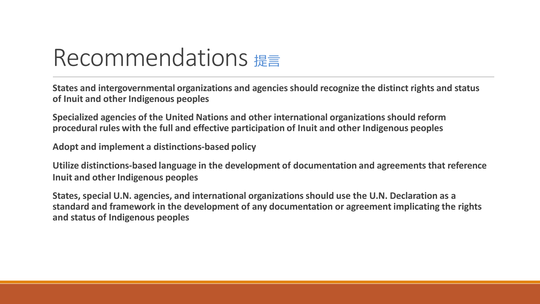# Recommendations 提言

**States and intergovernmental organizations and agencies should recognize the distinct rights and status of Inuit and other Indigenous peoples**

**Specialized agencies of the United Nations and other international organizations should reform procedural rules with the full and effective participation of Inuit and other Indigenous peoples**

**Adopt and implement a distinctions-based policy**

**Utilize distinctions-based language in the development of documentation and agreements that reference Inuit and other Indigenous peoples**

**States, special U.N. agencies, and international organizations should use the U.N. Declaration as a standard and framework in the development of any documentation or agreement implicating the rights and status of Indigenous peoples**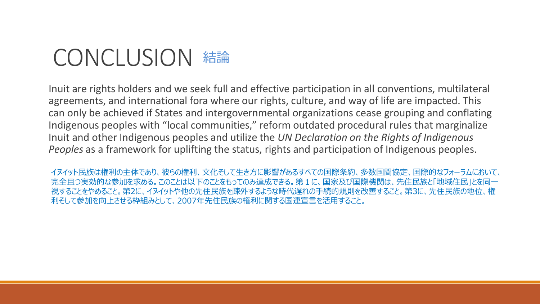### CONCLUSION 結論

Inuit are rights holders and we seek full and effective participation in all conventions, multilateral agreements, and international fora where our rights, culture, and way of life are impacted. This can only be achieved if States and intergovernmental organizations cease grouping and conflating Indigenous peoples with "local communities," reform outdated procedural rules that marginalize Inuit and other Indigenous peoples and utilize the *UN Declaration on the Rights of Indigenous Peoples* as a framework for uplifting the status, rights and participation of Indigenous peoples.

イヌイット民族は権利の主体であり、彼らの権利、文化そして生き方に影響があるすべての国際条約、多数国間協定、国際的なフォーラムにおいて、 完全且つ実効的な参加を求める。このことは以下のことをもってのみ達成できる。第1に、国家及び国際機関は、先住民族と「地域住民」とを同一 視することをやめること。第2に、イヌイットや他の先住民族を疎外するような時代遅れの手続的規則を改善すること。第3に、先住民族の地位、権 利そして参加を向上させる枠組みとして、2007年先住民族の権利に関する国連宣言を活用すること。